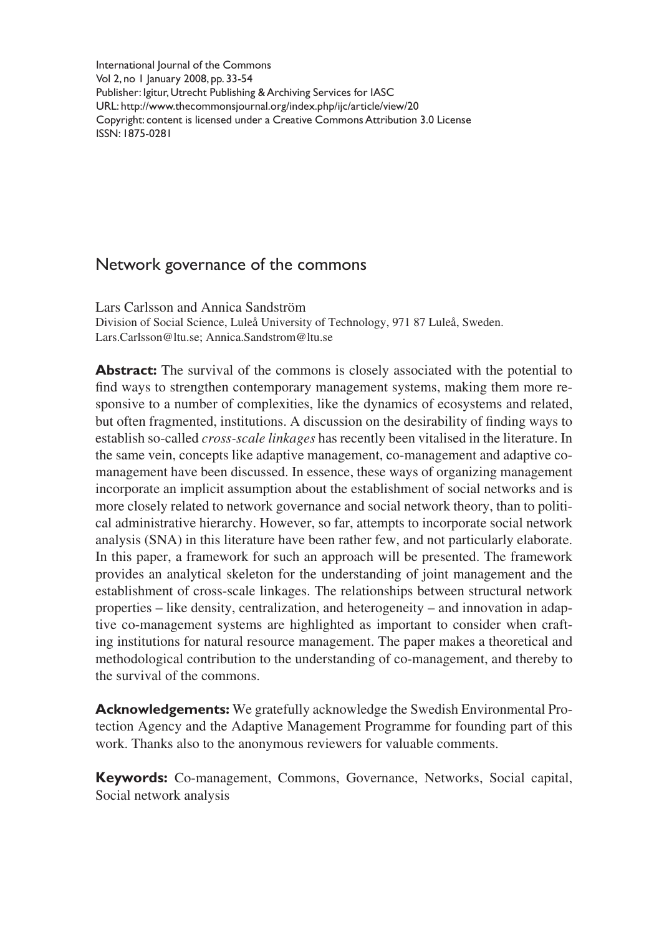International Journal of the Commons Vol 2, no 1 January 2008, pp. 33-54 Publisher: Igitur, Utrecht Publishing & Archiving Services for IASC URL: http://www.thecommonsjournal.org/index.php/ijc/article/view/20 Copyright: content is licensed under a Creative Commons Attribution 3.0 License ISSN: 1875-0281

# Network governance of the commons

Lars Carlsson and Annica Sandström Division of Social Science, Luleå University of Technology, 971 87 Luleå, Sweden. Lars.Carlsson@ltu.se; Annica.Sandstrom@ltu.se

**Abstract:** The survival of the commons is closely associated with the potential to find ways to strengthen contemporary management systems, making them more responsive to a number of complexities, like the dynamics of ecosystems and related, but often fragmented, institutions. A discussion on the desirability of finding ways to establish so-called *cross-scale linkages* has recently been vitalised in the literature. In the same vein, concepts like adaptive management, co-management and adaptive comanagement have been discussed. In essence, these ways of organizing management incorporate an implicit assumption about the establishment of social networks and is more closely related to network governance and social network theory, than to political administrative hierarchy. However, so far, attempts to incorporate social network analysis (SNA) in this literature have been rather few, and not particularly elaborate. In this paper, a framework for such an approach will be presented. The framework provides an analytical skeleton for the understanding of joint management and the establishment of cross-scale linkages. The relationships between structural network properties – like density, centralization, and heterogeneity – and innovation in adaptive co-management systems are highlighted as important to consider when crafting institutions for natural resource management. The paper makes a theoretical and methodological contribution to the understanding of co-management, and thereby to the survival of the commons.

**Acknowledgements:** We gratefully acknowledge the Swedish Environmental Protection Agency and the Adaptive Management Programme for founding part of this work. Thanks also to the anonymous reviewers for valuable comments.

**Keywords:** Co-management, Commons, Governance, Networks, Social capital, Social network analysis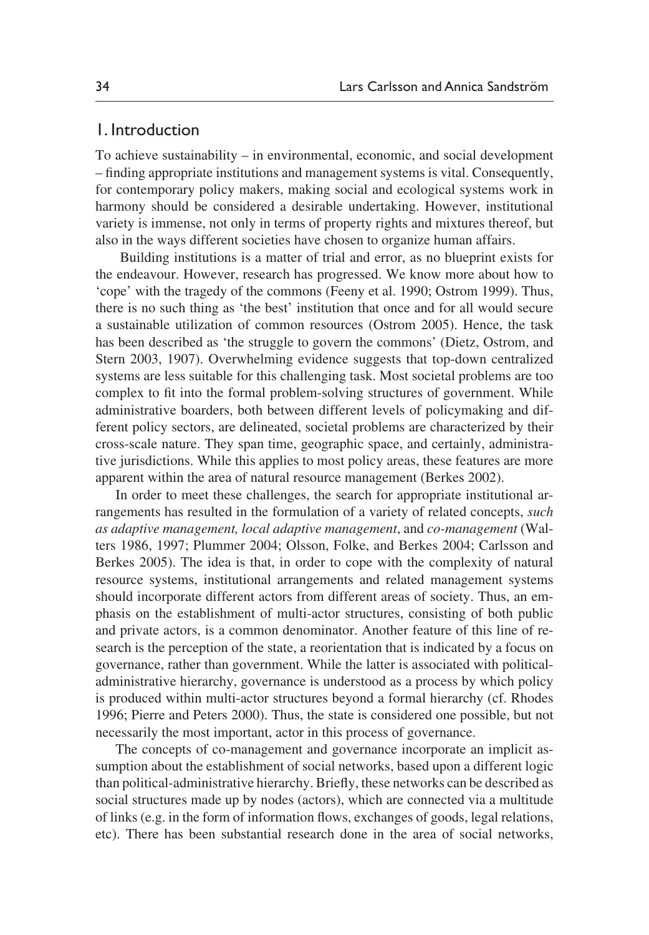## 1. Introduction

To achieve sustainability – in environmental, economic, and social development – finding appropriate institutions and management systems is vital. Consequently, for contemporary policy makers, making social and ecological systems work in harmony should be considered a desirable undertaking. However, institutional variety is immense, not only in terms of property rights and mixtures thereof, but also in the ways different societies have chosen to organize human affairs.

 Building institutions is a matter of trial and error, as no blueprint exists for the endeavour. However, research has progressed. We know more about how to 'cope' with the tragedy of the commons (Feeny et al. 1990; Ostrom 1999). Thus, there is no such thing as 'the best' institution that once and for all would secure a sustainable utilization of common resources (Ostrom 2005). Hence, the task has been described as 'the struggle to govern the commons' (Dietz, Ostrom, and Stern 2003, 1907). Overwhelming evidence suggests that top-down centralized systems are less suitable for this challenging task. Most societal problems are too complex to fit into the formal problem-solving structures of government. While administrative boarders, both between different levels of policymaking and different policy sectors, are delineated, societal problems are characterized by their cross-scale nature. They span time, geographic space, and certainly, administrative jurisdictions. While this applies to most policy areas, these features are more apparent within the area of natural resource management (Berkes 2002).

In order to meet these challenges, the search for appropriate institutional arrangements has resulted in the formulation of a variety of related concepts, *such as adaptive management, local adaptive management*, and *co-management* (Walters 1986, 1997; Plummer 2004; Olsson, Folke, and Berkes 2004; Carlsson and Berkes 2005). The idea is that, in order to cope with the complexity of natural resource systems, institutional arrangements and related management systems should incorporate different actors from different areas of society. Thus, an emphasis on the establishment of multi-actor structures, consisting of both public and private actors, is a common denominator. Another feature of this line of research is the perception of the state, a reorientation that is indicated by a focus on governance, rather than government. While the latter is associated with politicaladministrative hierarchy, governance is understood as a process by which policy is produced within multi-actor structures beyond a formal hierarchy (cf. Rhodes 1996; Pierre and Peters 2000). Thus, the state is considered one possible, but not necessarily the most important, actor in this process of governance.

The concepts of co-management and governance incorporate an implicit assumption about the establishment of social networks, based upon a different logic than political-administrative hierarchy. Briefly, these networks can be described as social structures made up by nodes (actors), which are connected via a multitude of links (e.g. in the form of information flows, exchanges of goods, legal relations, etc). There has been substantial research done in the area of social networks,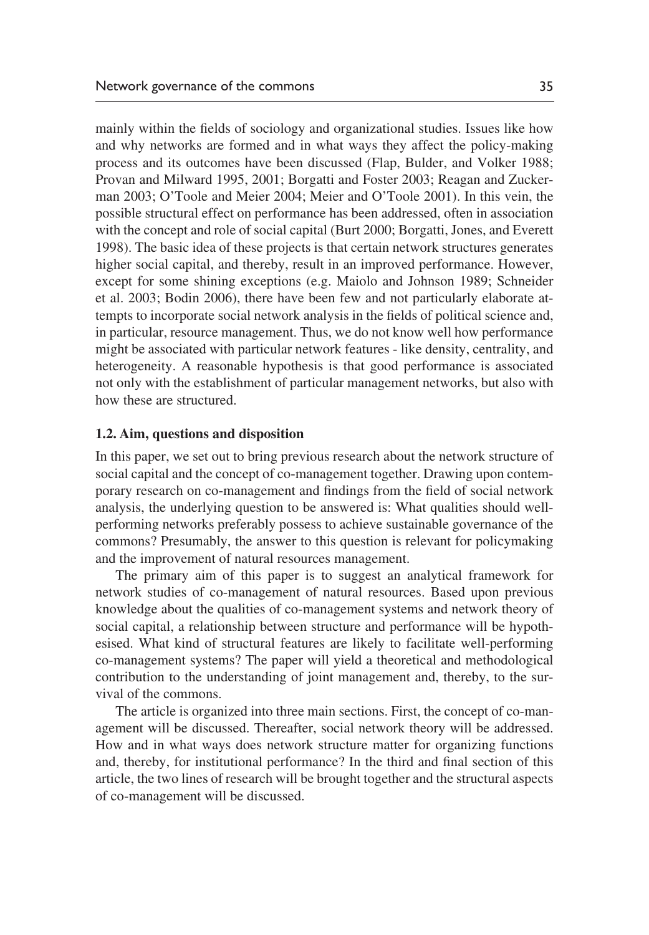mainly within the fields of sociology and organizational studies. Issues like how and why networks are formed and in what ways they affect the policy-making process and its outcomes have been discussed (Flap, Bulder, and Volker 1988; Provan and Milward 1995, 2001; Borgatti and Foster 2003; Reagan and Zuckerman 2003; O'Toole and Meier 2004; Meier and O'Toole 2001). In this vein, the possible structural effect on performance has been addressed, often in association with the concept and role of social capital (Burt 2000; Borgatti, Jones, and Everett 1998). The basic idea of these projects is that certain network structures generates higher social capital, and thereby, result in an improved performance. However, except for some shining exceptions (e.g. Maiolo and Johnson 1989; Schneider et al. 2003; Bodin 2006), there have been few and not particularly elaborate attempts to incorporate social network analysis in the fields of political science and, in particular, resource management. Thus, we do not know well how performance might be associated with particular network features - like density, centrality, and heterogeneity. A reasonable hypothesis is that good performance is associated not only with the establishment of particular management networks, but also with how these are structured.

#### **1.2. Aim, questions and disposition**

In this paper, we set out to bring previous research about the network structure of social capital and the concept of co-management together. Drawing upon contemporary research on co-management and findings from the field of social network analysis, the underlying question to be answered is: What qualities should wellperforming networks preferably possess to achieve sustainable governance of the commons? Presumably, the answer to this question is relevant for policymaking and the improvement of natural resources management.

The primary aim of this paper is to suggest an analytical framework for network studies of co-management of natural resources. Based upon previous knowledge about the qualities of co-management systems and network theory of social capital, a relationship between structure and performance will be hypothesised. What kind of structural features are likely to facilitate well-performing co-management systems? The paper will yield a theoretical and methodological contribution to the understanding of joint management and, thereby, to the survival of the commons.

The article is organized into three main sections. First, the concept of co-management will be discussed. Thereafter, social network theory will be addressed. How and in what ways does network structure matter for organizing functions and, thereby, for institutional performance? In the third and final section of this article, the two lines of research will be brought together and the structural aspects of co-management will be discussed.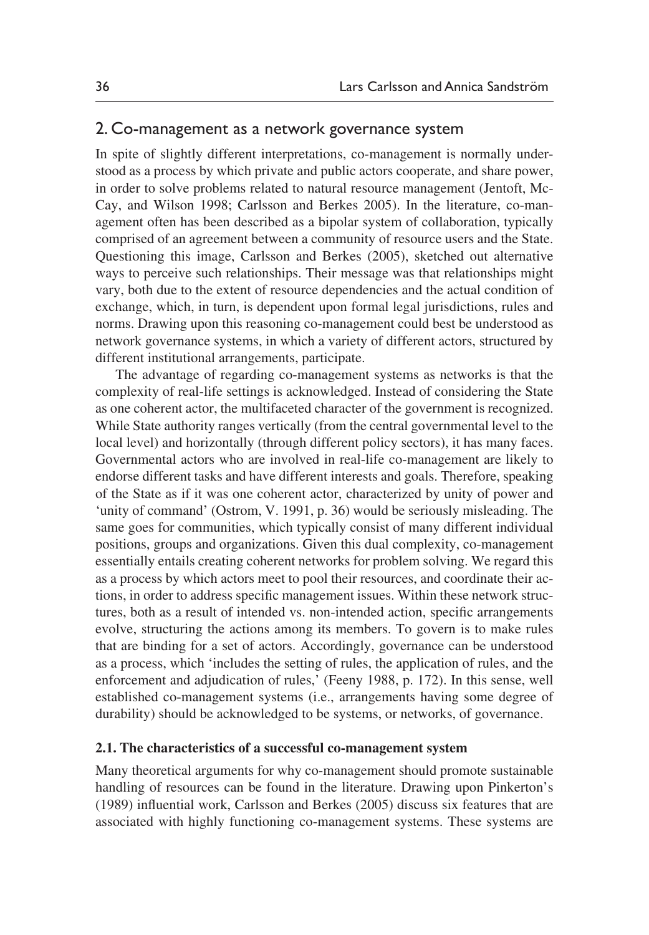## 2. Co-management as a network governance system

In spite of slightly different interpretations, co-management is normally understood as a process by which private and public actors cooperate, and share power, in order to solve problems related to natural resource management (Jentoft, Mc-Cay, and Wilson 1998; Carlsson and Berkes 2005). In the literature, co-management often has been described as a bipolar system of collaboration, typically comprised of an agreement between a community of resource users and the State. Questioning this image, Carlsson and Berkes (2005), sketched out alternative ways to perceive such relationships. Their message was that relationships might vary, both due to the extent of resource dependencies and the actual condition of exchange, which, in turn, is dependent upon formal legal jurisdictions, rules and norms. Drawing upon this reasoning co-management could best be understood as network governance systems, in which a variety of different actors, structured by different institutional arrangements, participate.

The advantage of regarding co-management systems as networks is that the complexity of real-life settings is acknowledged. Instead of considering the State as one coherent actor, the multifaceted character of the government is recognized. While State authority ranges vertically (from the central governmental level to the local level) and horizontally (through different policy sectors), it has many faces. Governmental actors who are involved in real-life co-management are likely to endorse different tasks and have different interests and goals. Therefore, speaking of the State as if it was one coherent actor, characterized by unity of power and 'unity of command' (Ostrom, V. 1991, p. 36) would be seriously misleading. The same goes for communities, which typically consist of many different individual positions, groups and organizations. Given this dual complexity, co-management essentially entails creating coherent networks for problem solving. We regard this as a process by which actors meet to pool their resources, and coordinate their actions, in order to address specific management issues. Within these network structures, both as a result of intended vs. non-intended action, specific arrangements evolve, structuring the actions among its members. To govern is to make rules that are binding for a set of actors. Accordingly, governance can be understood as a process, which 'includes the setting of rules, the application of rules, and the enforcement and adjudication of rules,' (Feeny 1988, p. 172). In this sense, well established co-management systems (i.e., arrangements having some degree of durability) should be acknowledged to be systems, or networks, of governance.

### **2.1. The characteristics of a successful co-management system**

Many theoretical arguments for why co-management should promote sustainable handling of resources can be found in the literature. Drawing upon Pinkerton's (1989) influential work, Carlsson and Berkes (2005) discuss six features that are associated with highly functioning co-management systems. These systems are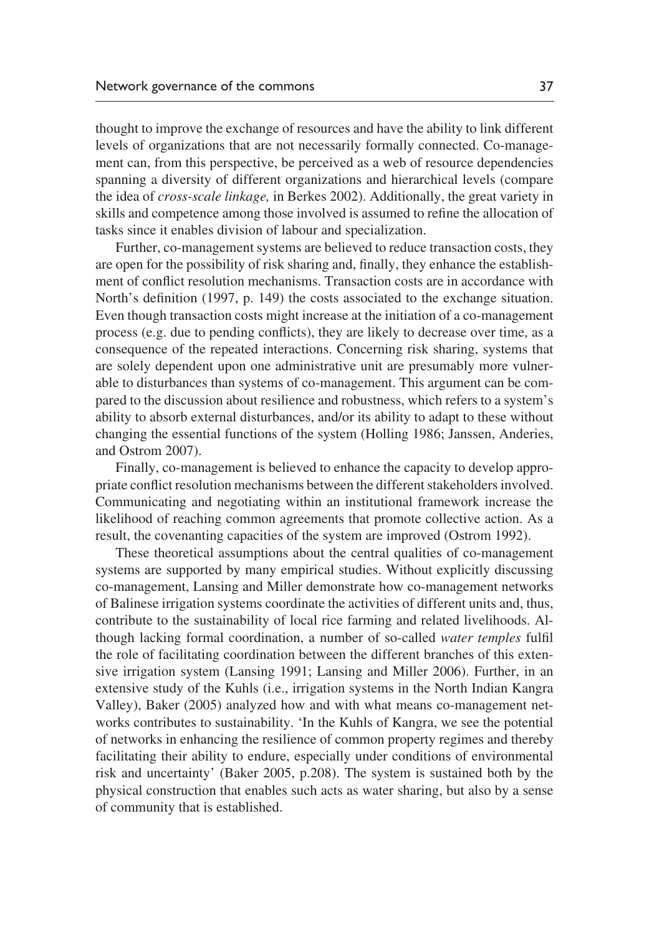thought to improve the exchange of resources and have the ability to link different levels of organizations that are not necessarily formally connected. Co-management can, from this perspective, be perceived as a web of resource dependencies spanning a diversity of different organizations and hierarchical levels (compare the idea of *cross-scale linkage,* in Berkes 2002). Additionally, the great variety in skills and competence among those involved is assumed to refine the allocation of tasks since it enables division of labour and specialization.

Further, co-management systems are believed to reduce transaction costs, they are open for the possibility of risk sharing and, finally, they enhance the establishment of conflict resolution mechanisms. Transaction costs are in accordance with North's definition (1997, p. 149) the costs associated to the exchange situation. Even though transaction costs might increase at the initiation of a co-management process (e.g. due to pending conflicts), they are likely to decrease over time, as a consequence of the repeated interactions. Concerning risk sharing, systems that are solely dependent upon one administrative unit are presumably more vulnerable to disturbances than systems of co-management. This argument can be compared to the discussion about resilience and robustness, which refers to a system's ability to absorb external disturbances, and/or its ability to adapt to these without changing the essential functions of the system (Holling 1986; Janssen, Anderies, and Ostrom 2007).

Finally, co-management is believed to enhance the capacity to develop appropriate conflict resolution mechanisms between the different stakeholders involved. Communicating and negotiating within an institutional framework increase the likelihood of reaching common agreements that promote collective action. As a result, the covenanting capacities of the system are improved (Ostrom 1992).

These theoretical assumptions about the central qualities of co-management systems are supported by many empirical studies. Without explicitly discussing co-management, Lansing and Miller demonstrate how co-management networks of Balinese irrigation systems coordinate the activities of different units and, thus, contribute to the sustainability of local rice farming and related livelihoods. Although lacking formal coordination, a number of so-called *water temples* fulfil the role of facilitating coordination between the different branches of this extensive irrigation system (Lansing 1991; Lansing and Miller 2006). Further, in an extensive study of the Kuhls (i.e., irrigation systems in the North Indian Kangra Valley), Baker (2005) analyzed how and with what means co-management networks contributes to sustainability. 'In the Kuhls of Kangra, we see the potential of networks in enhancing the resilience of common property regimes and thereby facilitating their ability to endure, especially under conditions of environmental risk and uncertainty' (Baker 2005, p.208). The system is sustained both by the physical construction that enables such acts as water sharing, but also by a sense of community that is established.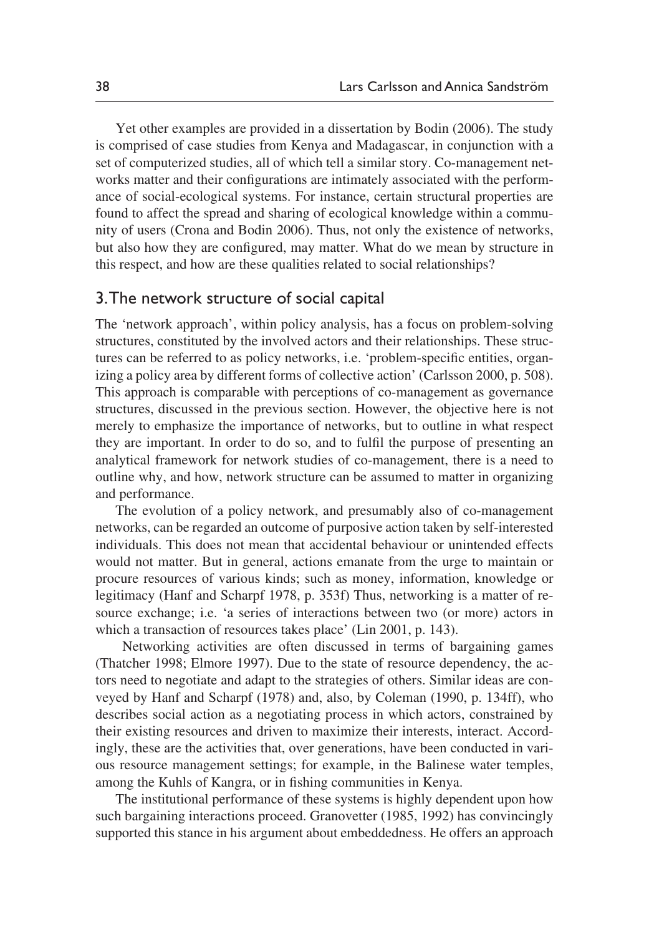Yet other examples are provided in a dissertation by Bodin (2006). The study is comprised of case studies from Kenya and Madagascar, in conjunction with a set of computerized studies, all of which tell a similar story. Co-management networks matter and their configurations are intimately associated with the performance of social-ecological systems. For instance, certain structural properties are found to affect the spread and sharing of ecological knowledge within a community of users (Crona and Bodin 2006). Thus, not only the existence of networks, but also how they are configured, may matter. What do we mean by structure in this respect, and how are these qualities related to social relationships?

# 3. The network structure of social capital

The 'network approach', within policy analysis, has a focus on problem-solving structures, constituted by the involved actors and their relationships. These structures can be referred to as policy networks, i.e. 'problem-specific entities, organizing a policy area by different forms of collective action' (Carlsson 2000, p. 508). This approach is comparable with perceptions of co-management as governance structures, discussed in the previous section. However, the objective here is not merely to emphasize the importance of networks, but to outline in what respect they are important. In order to do so, and to fulfil the purpose of presenting an analytical framework for network studies of co-management, there is a need to outline why, and how, network structure can be assumed to matter in organizing and performance.

The evolution of a policy network, and presumably also of co-management networks, can be regarded an outcome of purposive action taken by self-interested individuals. This does not mean that accidental behaviour or unintended effects would not matter. But in general, actions emanate from the urge to maintain or procure resources of various kinds; such as money, information, knowledge or legitimacy (Hanf and Scharpf 1978, p. 353f) Thus, networking is a matter of resource exchange; i.e. 'a series of interactions between two (or more) actors in which a transaction of resources takes place' (Lin 2001, p. 143).

 Networking activities are often discussed in terms of bargaining games (Thatcher 1998; Elmore 1997). Due to the state of resource dependency, the actors need to negotiate and adapt to the strategies of others. Similar ideas are conveyed by Hanf and Scharpf (1978) and, also, by Coleman (1990, p. 134ff), who describes social action as a negotiating process in which actors, constrained by their existing resources and driven to maximize their interests, interact. Accordingly, these are the activities that, over generations, have been conducted in various resource management settings; for example, in the Balinese water temples, among the Kuhls of Kangra, or in fishing communities in Kenya.

The institutional performance of these systems is highly dependent upon how such bargaining interactions proceed. Granovetter (1985, 1992) has convincingly supported this stance in his argument about embeddedness. He offers an approach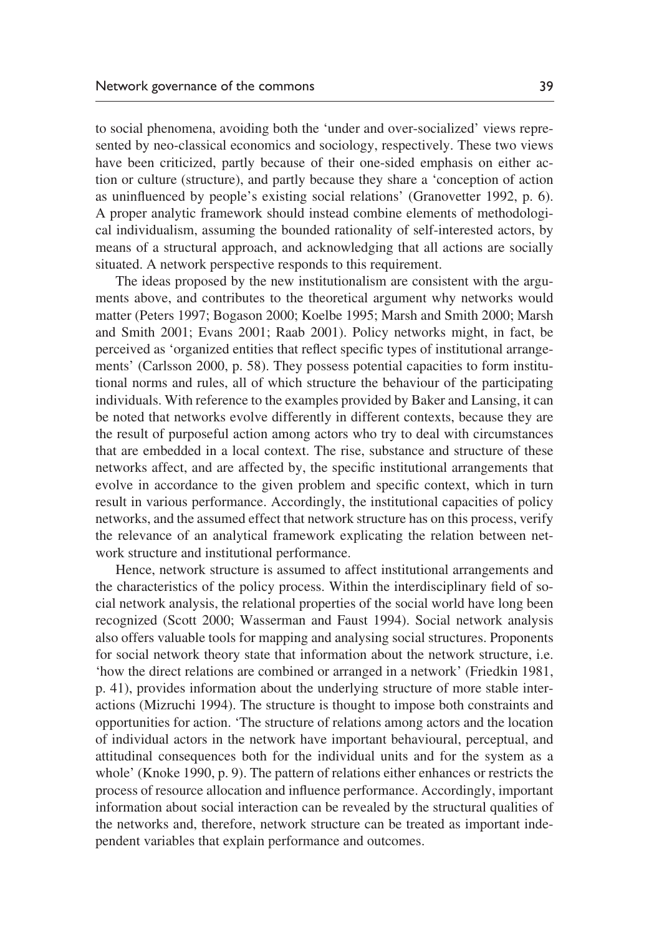to social phenomena, avoiding both the 'under and over-socialized' views represented by neo-classical economics and sociology, respectively. These two views have been criticized, partly because of their one-sided emphasis on either action or culture (structure), and partly because they share a 'conception of action as uninfluenced by people's existing social relations' (Granovetter 1992, p. 6). A proper analytic framework should instead combine elements of methodological individualism, assuming the bounded rationality of self-interested actors, by means of a structural approach, and acknowledging that all actions are socially situated. A network perspective responds to this requirement.

The ideas proposed by the new institutionalism are consistent with the arguments above, and contributes to the theoretical argument why networks would matter (Peters 1997; Bogason 2000; Koelbe 1995; Marsh and Smith 2000; Marsh and Smith 2001; Evans 2001; Raab 2001). Policy networks might, in fact, be perceived as 'organized entities that reflect specific types of institutional arrangements' (Carlsson 2000, p. 58). They possess potential capacities to form institutional norms and rules, all of which structure the behaviour of the participating individuals. With reference to the examples provided by Baker and Lansing, it can be noted that networks evolve differently in different contexts, because they are the result of purposeful action among actors who try to deal with circumstances that are embedded in a local context. The rise, substance and structure of these networks affect, and are affected by, the specific institutional arrangements that evolve in accordance to the given problem and specific context, which in turn result in various performance. Accordingly, the institutional capacities of policy networks, and the assumed effect that network structure has on this process, verify the relevance of an analytical framework explicating the relation between network structure and institutional performance.

Hence, network structure is assumed to affect institutional arrangements and the characteristics of the policy process. Within the interdisciplinary field of social network analysis, the relational properties of the social world have long been recognized (Scott 2000; Wasserman and Faust 1994). Social network analysis also offers valuable tools for mapping and analysing social structures. Proponents for social network theory state that information about the network structure, i.e. 'how the direct relations are combined or arranged in a network' (Friedkin 1981, p. 41), provides information about the underlying structure of more stable interactions (Mizruchi 1994). The structure is thought to impose both constraints and opportunities for action. 'The structure of relations among actors and the location of individual actors in the network have important behavioural, perceptual, and attitudinal consequences both for the individual units and for the system as a whole' (Knoke 1990, p. 9). The pattern of relations either enhances or restricts the process of resource allocation and influence performance. Accordingly, important information about social interaction can be revealed by the structural qualities of the networks and, therefore, network structure can be treated as important independent variables that explain performance and outcomes.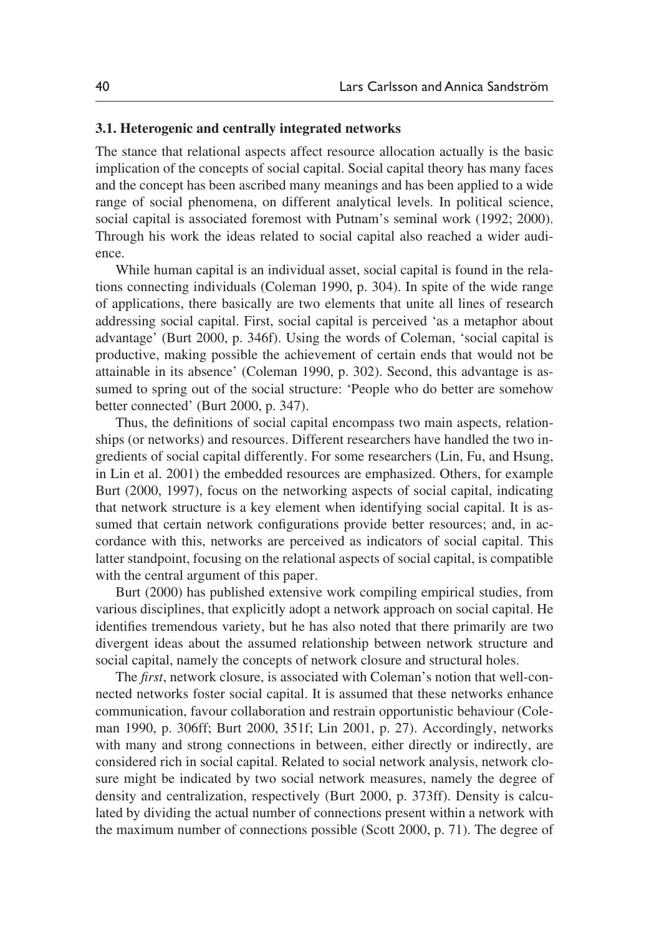### **3.1. Heterogenic and centrally integrated networks**

The stance that relational aspects affect resource allocation actually is the basic implication of the concepts of social capital. Social capital theory has many faces and the concept has been ascribed many meanings and has been applied to a wide range of social phenomena, on different analytical levels. In political science, social capital is associated foremost with Putnam's seminal work (1992; 2000). Through his work the ideas related to social capital also reached a wider audience.

While human capital is an individual asset, social capital is found in the relations connecting individuals (Coleman 1990, p. 304). In spite of the wide range of applications, there basically are two elements that unite all lines of research addressing social capital. First, social capital is perceived 'as a metaphor about advantage' (Burt 2000, p. 346f). Using the words of Coleman, 'social capital is productive, making possible the achievement of certain ends that would not be attainable in its absence' (Coleman 1990, p. 302). Second, this advantage is assumed to spring out of the social structure: 'People who do better are somehow better connected' (Burt 2000, p. 347).

Thus, the definitions of social capital encompass two main aspects, relationships (or networks) and resources. Different researchers have handled the two ingredients of social capital differently. For some researchers (Lin, Fu, and Hsung, in Lin et al. 2001) the embedded resources are emphasized. Others, for example Burt (2000, 1997), focus on the networking aspects of social capital, indicating that network structure is a key element when identifying social capital. It is assumed that certain network configurations provide better resources; and, in accordance with this, networks are perceived as indicators of social capital. This latter standpoint, focusing on the relational aspects of social capital, is compatible with the central argument of this paper.

Burt (2000) has published extensive work compiling empirical studies, from various disciplines, that explicitly adopt a network approach on social capital. He identifies tremendous variety, but he has also noted that there primarily are two divergent ideas about the assumed relationship between network structure and social capital, namely the concepts of network closure and structural holes.

The *first*, network closure, is associated with Coleman's notion that well-connected networks foster social capital. It is assumed that these networks enhance communication, favour collaboration and restrain opportunistic behaviour (Coleman 1990, p. 306ff; Burt 2000, 351f; Lin 2001, p. 27). Accordingly, networks with many and strong connections in between, either directly or indirectly, are considered rich in social capital. Related to social network analysis, network closure might be indicated by two social network measures, namely the degree of density and centralization, respectively (Burt 2000, p. 373ff). Density is calculated by dividing the actual number of connections present within a network with the maximum number of connections possible (Scott 2000, p. 71). The degree of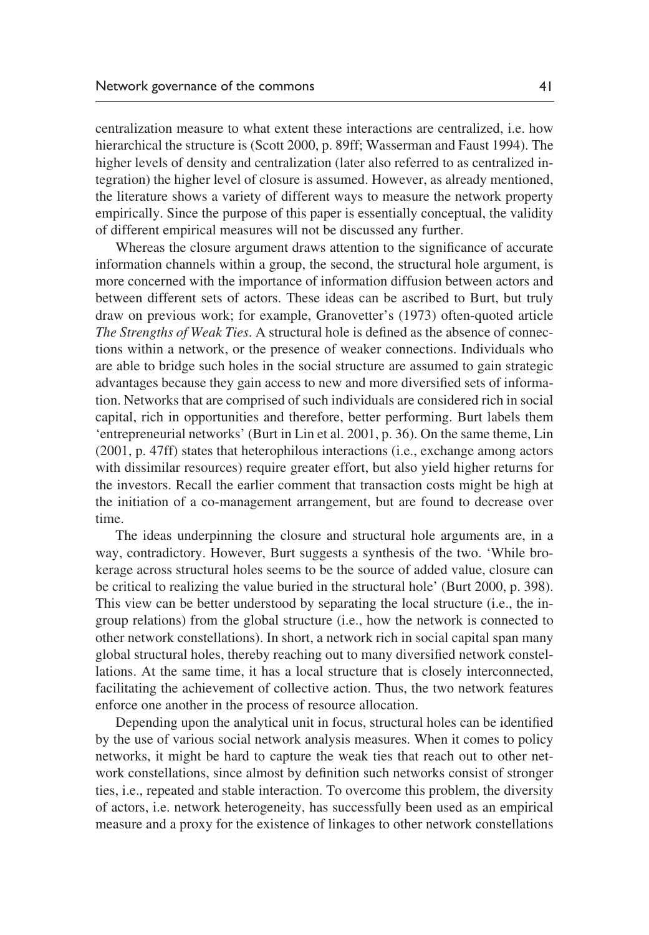centralization measure to what extent these interactions are centralized, i.e. how hierarchical the structure is (Scott 2000, p. 89ff; Wasserman and Faust 1994). The higher levels of density and centralization (later also referred to as centralized integration) the higher level of closure is assumed. However, as already mentioned, the literature shows a variety of different ways to measure the network property empirically. Since the purpose of this paper is essentially conceptual, the validity of different empirical measures will not be discussed any further.

Whereas the closure argument draws attention to the significance of accurate information channels within a group, the second, the structural hole argument, is more concerned with the importance of information diffusion between actors and between different sets of actors. These ideas can be ascribed to Burt, but truly draw on previous work; for example, Granovetter's (1973) often-quoted article *The Strengths of Weak Ties*. A structural hole is defined as the absence of connections within a network, or the presence of weaker connections. Individuals who are able to bridge such holes in the social structure are assumed to gain strategic advantages because they gain access to new and more diversified sets of information. Networks that are comprised of such individuals are considered rich in social capital, rich in opportunities and therefore, better performing. Burt labels them 'entrepreneurial networks' (Burt in Lin et al. 2001, p. 36). On the same theme, Lin (2001, p. 47ff) states that heterophilous interactions (i.e., exchange among actors with dissimilar resources) require greater effort, but also yield higher returns for the investors. Recall the earlier comment that transaction costs might be high at the initiation of a co-management arrangement, but are found to decrease over time.

The ideas underpinning the closure and structural hole arguments are, in a way, contradictory. However, Burt suggests a synthesis of the two. 'While brokerage across structural holes seems to be the source of added value, closure can be critical to realizing the value buried in the structural hole' (Burt 2000, p. 398). This view can be better understood by separating the local structure (i.e., the ingroup relations) from the global structure (i.e., how the network is connected to other network constellations). In short, a network rich in social capital span many global structural holes, thereby reaching out to many diversified network constellations. At the same time, it has a local structure that is closely interconnected, facilitating the achievement of collective action. Thus, the two network features enforce one another in the process of resource allocation.

Depending upon the analytical unit in focus, structural holes can be identified by the use of various social network analysis measures. When it comes to policy networks, it might be hard to capture the weak ties that reach out to other network constellations, since almost by definition such networks consist of stronger ties, i.e., repeated and stable interaction. To overcome this problem, the diversity of actors, i.e. network heterogeneity, has successfully been used as an empirical measure and a proxy for the existence of linkages to other network constellations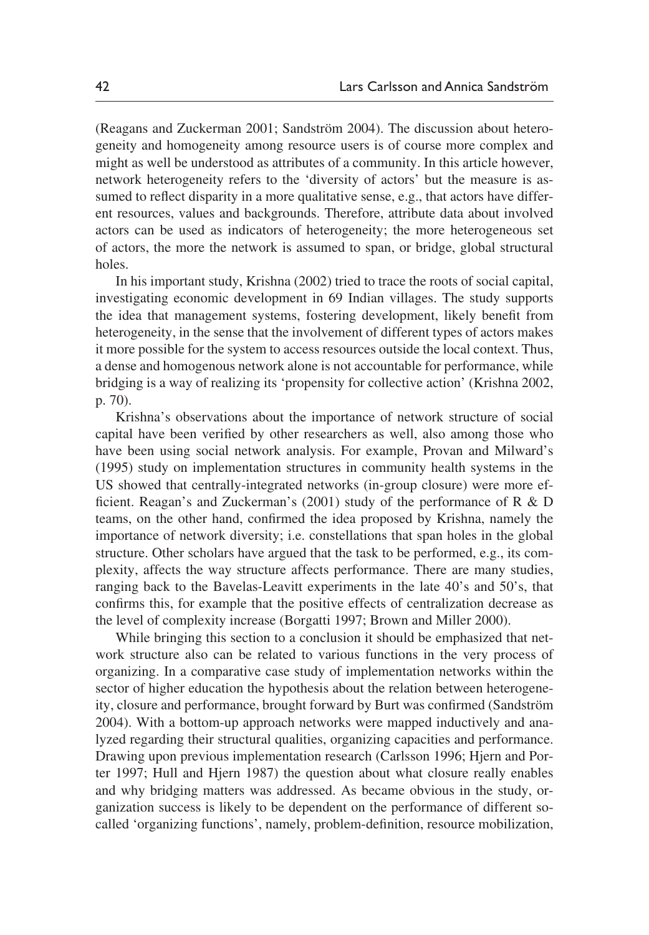(Reagans and Zuckerman 2001; Sandström 2004). The discussion about heterogeneity and homogeneity among resource users is of course more complex and might as well be understood as attributes of a community. In this article however, network heterogeneity refers to the 'diversity of actors' but the measure is assumed to reflect disparity in a more qualitative sense, e.g., that actors have different resources, values and backgrounds. Therefore, attribute data about involved actors can be used as indicators of heterogeneity; the more heterogeneous set of actors, the more the network is assumed to span, or bridge, global structural holes.

In his important study, Krishna (2002) tried to trace the roots of social capital, investigating economic development in 69 Indian villages. The study supports the idea that management systems, fostering development, likely benefit from heterogeneity, in the sense that the involvement of different types of actors makes it more possible for the system to access resources outside the local context. Thus, a dense and homogenous network alone is not accountable for performance, while bridging is a way of realizing its 'propensity for collective action' (Krishna 2002, p. 70).

Krishna's observations about the importance of network structure of social capital have been verified by other researchers as well, also among those who have been using social network analysis. For example, Provan and Milward's (1995) study on implementation structures in community health systems in the US showed that centrally-integrated networks (in-group closure) were more efficient. Reagan's and Zuckerman's (2001) study of the performance of R & D teams, on the other hand, confirmed the idea proposed by Krishna, namely the importance of network diversity; i.e. constellations that span holes in the global structure. Other scholars have argued that the task to be performed, e.g., its complexity, affects the way structure affects performance. There are many studies, ranging back to the Bavelas-Leavitt experiments in the late 40's and 50's, that confirms this, for example that the positive effects of centralization decrease as the level of complexity increase (Borgatti 1997; Brown and Miller 2000).

While bringing this section to a conclusion it should be emphasized that network structure also can be related to various functions in the very process of organizing. In a comparative case study of implementation networks within the sector of higher education the hypothesis about the relation between heterogeneity, closure and performance, brought forward by Burt was confirmed (Sandström 2004). With a bottom-up approach networks were mapped inductively and analyzed regarding their structural qualities, organizing capacities and performance. Drawing upon previous implementation research (Carlsson 1996; Hjern and Porter 1997; Hull and Hjern 1987) the question about what closure really enables and why bridging matters was addressed. As became obvious in the study, organization success is likely to be dependent on the performance of different socalled 'organizing functions', namely, problem-definition, resource mobilization,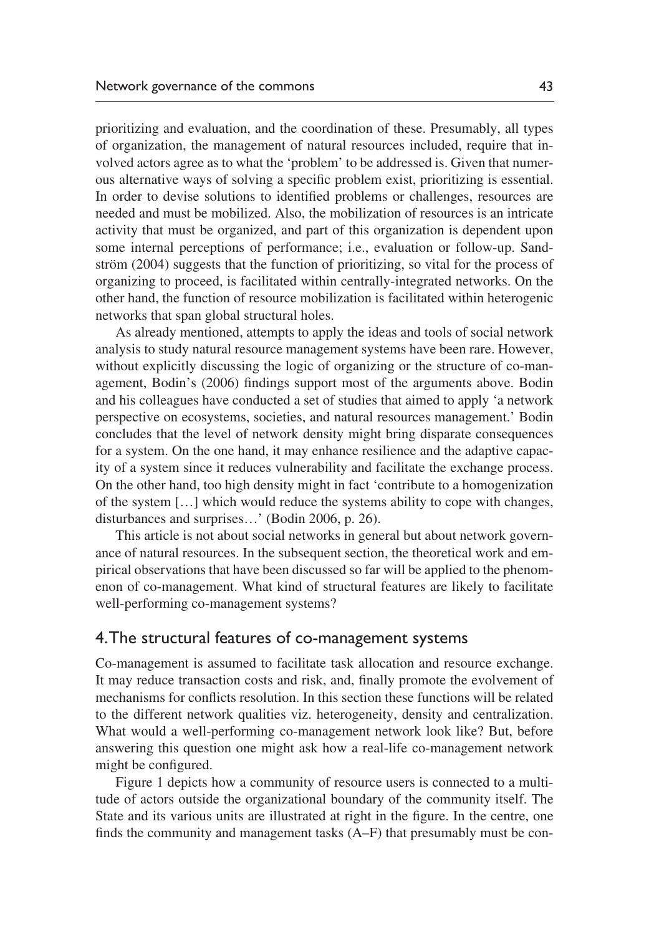prioritizing and evaluation, and the coordination of these. Presumably, all types of organization, the management of natural resources included, require that involved actors agree as to what the 'problem' to be addressed is. Given that numerous alternative ways of solving a specific problem exist, prioritizing is essential. In order to devise solutions to identified problems or challenges, resources are needed and must be mobilized. Also, the mobilization of resources is an intricate activity that must be organized, and part of this organization is dependent upon some internal perceptions of performance; i.e., evaluation or follow-up. Sandström (2004) suggests that the function of prioritizing, so vital for the process of organizing to proceed, is facilitated within centrally-integrated networks. On the other hand, the function of resource mobilization is facilitated within heterogenic networks that span global structural holes.

As already mentioned, attempts to apply the ideas and tools of social network analysis to study natural resource management systems have been rare. However, without explicitly discussing the logic of organizing or the structure of co-management, Bodin's (2006) findings support most of the arguments above. Bodin and his colleagues have conducted a set of studies that aimed to apply 'a network perspective on ecosystems, societies, and natural resources management.' Bodin concludes that the level of network density might bring disparate consequences for a system. On the one hand, it may enhance resilience and the adaptive capacity of a system since it reduces vulnerability and facilitate the exchange process. On the other hand, too high density might in fact 'contribute to a homogenization of the system […] which would reduce the systems ability to cope with changes, disturbances and surprises…' (Bodin 2006, p. 26).

This article is not about social networks in general but about network governance of natural resources. In the subsequent section, the theoretical work and empirical observations that have been discussed so far will be applied to the phenomenon of co-management. What kind of structural features are likely to facilitate well-performing co-management systems?

# 4. The structural features of co-management systems

Co-management is assumed to facilitate task allocation and resource exchange. It may reduce transaction costs and risk, and, finally promote the evolvement of mechanisms for conflicts resolution. In this section these functions will be related to the different network qualities viz. heterogeneity, density and centralization. What would a well-performing co-management network look like? But, before answering this question one might ask how a real-life co-management network might be configured.

Figure 1 depicts how a community of resource users is connected to a multitude of actors outside the organizational boundary of the community itself. The State and its various units are illustrated at right in the figure. In the centre, one finds the community and management tasks (A–F) that presumably must be con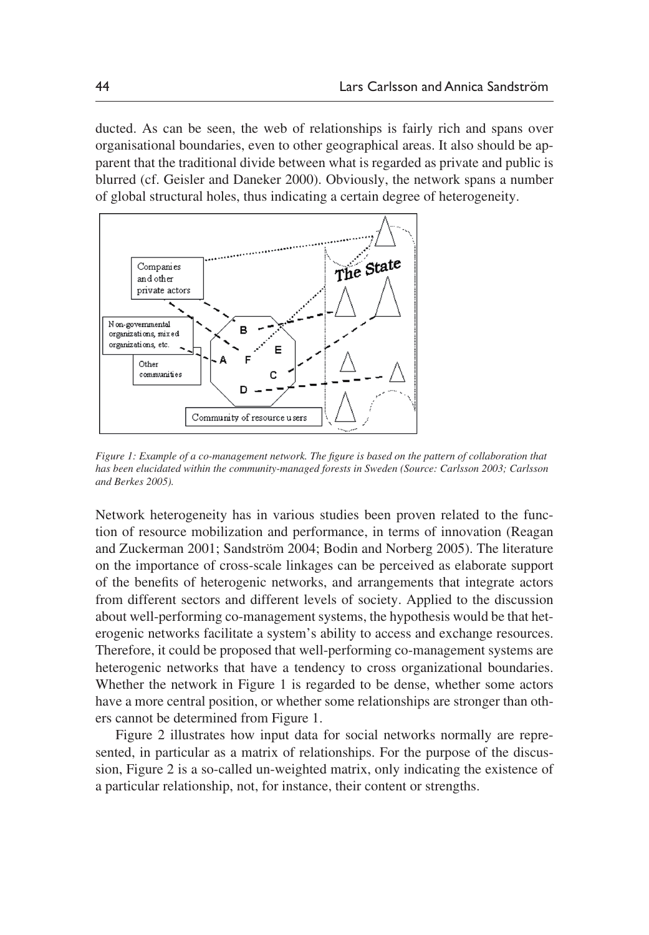ducted. As can be seen, the web of relationships is fairly rich and spans over organisational boundaries, even to other geographical areas. It also should be apparent that the traditional divide between what is regarded as private and public is blurred (cf. Geisler and Daneker 2000). Obviously, the network spans a number of global structural holes, thus indicating a certain degree of heterogeneity.



*Figure 1: Example of a co-management network. The figure is based on the pattern of collaboration that has been elucidated within the community-managed forests in Sweden (Source: Carlsson 2003; Carlsson and Berkes 2005).* 

Network heterogeneity has in various studies been proven related to the function of resource mobilization and performance, in terms of innovation (Reagan and Zuckerman 2001; Sandström 2004; Bodin and Norberg 2005). The literature on the importance of cross-scale linkages can be perceived as elaborate support of the benefits of heterogenic networks, and arrangements that integrate actors from different sectors and different levels of society. Applied to the discussion about well-performing co-management systems, the hypothesis would be that heterogenic networks facilitate a system's ability to access and exchange resources. Therefore, it could be proposed that well-performing co-management systems are heterogenic networks that have a tendency to cross organizational boundaries. Whether the network in Figure 1 is regarded to be dense, whether some actors have a more central position, or whether some relationships are stronger than others cannot be determined from Figure 1.

Figure 2 illustrates how input data for social networks normally are represented, in particular as a matrix of relationships. For the purpose of the discussion, Figure 2 is a so-called un-weighted matrix, only indicating the existence of a particular relationship, not, for instance, their content or strengths.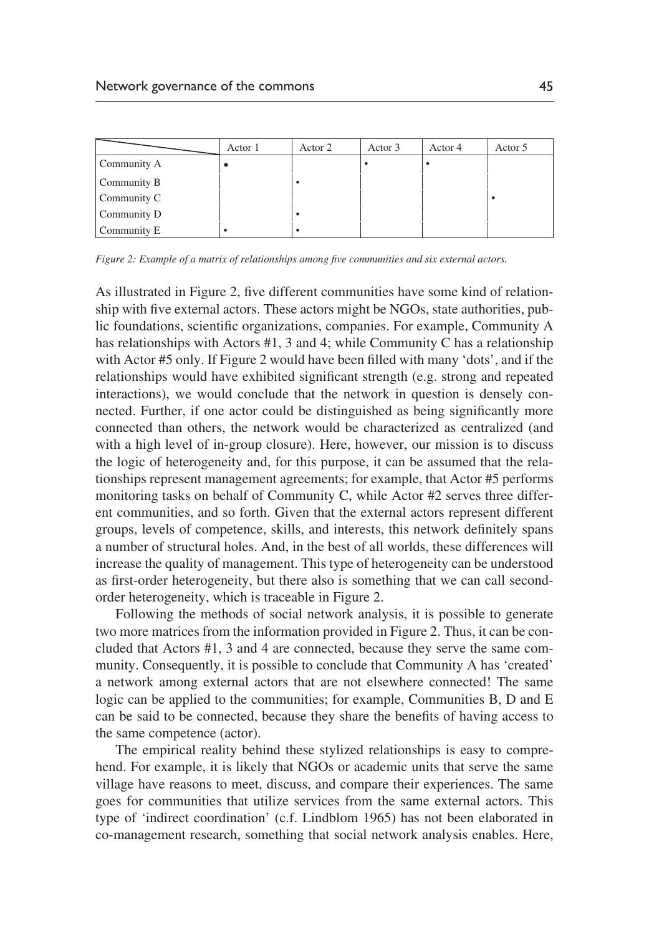|             | Actor 1 | Actor 2 | Actor 3 | Actor 4 | Actor 5 |
|-------------|---------|---------|---------|---------|---------|
| Community A |         |         |         |         |         |
| Community B |         |         |         |         |         |
| Community C |         |         |         |         |         |
| Community D |         |         |         |         |         |
| Community E |         |         |         |         |         |

*Figure 2: Example of a matrix of relationships among five communities and six external actors.* 

As illustrated in Figure 2, five different communities have some kind of relationship with five external actors. These actors might be NGOs, state authorities, public foundations, scientific organizations, companies. For example, Community A has relationships with Actors #1, 3 and 4; while Community C has a relationship with Actor #5 only. If Figure 2 would have been filled with many 'dots', and if the relationships would have exhibited significant strength (e.g. strong and repeated interactions), we would conclude that the network in question is densely connected. Further, if one actor could be distinguished as being significantly more connected than others, the network would be characterized as centralized (and with a high level of in-group closure). Here, however, our mission is to discuss the logic of heterogeneity and, for this purpose, it can be assumed that the relationships represent management agreements; for example, that Actor #5 performs monitoring tasks on behalf of Community C, while Actor #2 serves three different communities, and so forth. Given that the external actors represent different groups, levels of competence, skills, and interests, this network definitely spans a number of structural holes. And, in the best of all worlds, these differences will increase the quality of management. This type of heterogeneity can be understood as first-order heterogeneity, but there also is something that we can call secondorder heterogeneity, which is traceable in Figure 2.

Following the methods of social network analysis, it is possible to generate two more matrices from the information provided in Figure 2. Thus, it can be concluded that Actors #1, 3 and 4 are connected, because they serve the same community. Consequently, it is possible to conclude that Community A has 'created' a network among external actors that are not elsewhere connected! The same logic can be applied to the communities; for example, Communities B, D and E can be said to be connected, because they share the benefits of having access to the same competence (actor).

The empirical reality behind these stylized relationships is easy to comprehend. For example, it is likely that NGOs or academic units that serve the same village have reasons to meet, discuss, and compare their experiences. The same goes for communities that utilize services from the same external actors. This type of 'indirect coordination' (c.f. Lindblom 1965) has not been elaborated in co-management research, something that social network analysis enables. Here,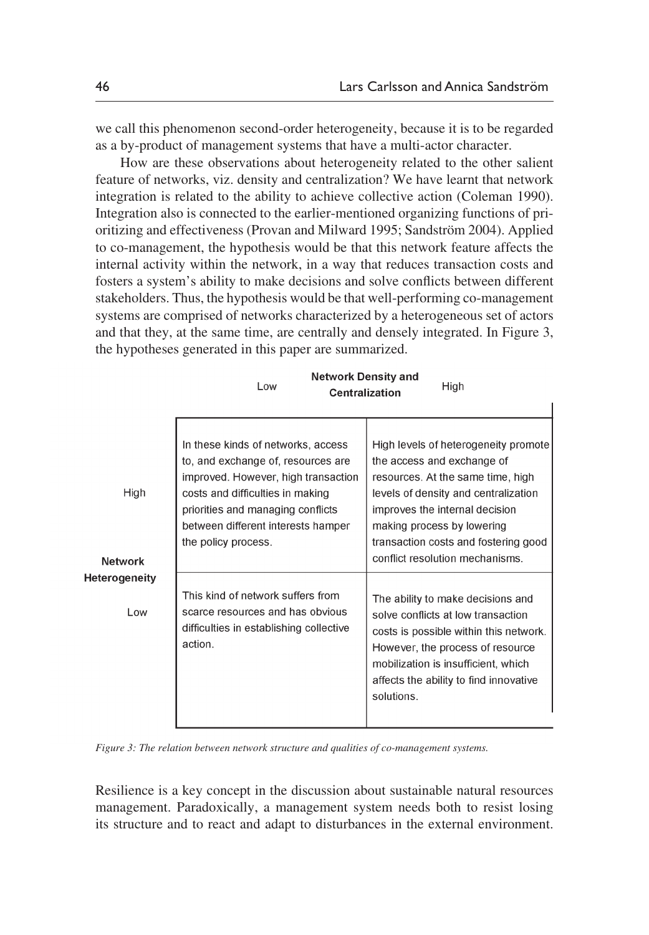we call this phenomenon second-order heterogeneity, because it is to be regarded as a by-product of management systems that have a multi-actor character.

 How are these observations about heterogeneity related to the other salient feature of networks, viz. density and centralization? We have learnt that network integration is related to the ability to achieve collective action (Coleman 1990). Integration also is connected to the earlier-mentioned organizing functions of prioritizing and effectiveness (Provan and Milward 1995; Sandström 2004). Applied to co-management, the hypothesis would be that this network feature affects the internal activity within the network, in a way that reduces transaction costs and fosters a system's ability to make decisions and solve conflicts between different stakeholders. Thus, the hypothesis would be that well-performing co-management systems are comprised of networks characterized by a heterogeneous set of actors and that they, at the same time, are centrally and densely integrated. In Figure 3, the hypotheses generated in this paper are summarized.

|                             | <b>Network Density and</b><br>High<br>Low<br><b>Centralization</b>                                                                                                                                                                                    |                                                                                                                                                                                                                                                                                            |  |
|-----------------------------|-------------------------------------------------------------------------------------------------------------------------------------------------------------------------------------------------------------------------------------------------------|--------------------------------------------------------------------------------------------------------------------------------------------------------------------------------------------------------------------------------------------------------------------------------------------|--|
| High<br><b>Network</b>      | In these kinds of networks, access<br>to, and exchange of, resources are<br>improved. However, high transaction<br>costs and difficulties in making<br>priorities and managing conflicts<br>between different interests hamper<br>the policy process. | High levels of heterogeneity promote<br>the access and exchange of<br>resources. At the same time, high<br>levels of density and centralization<br>improves the internal decision<br>making process by lowering<br>transaction costs and fostering good<br>conflict resolution mechanisms. |  |
| <b>Heterogeneity</b><br>Low | This kind of network suffers from<br>scarce resources and has obvious<br>difficulties in establishing collective<br>action.                                                                                                                           | The ability to make decisions and<br>solve conflicts at low transaction<br>costs is possible within this network.<br>However, the process of resource<br>mobilization is insufficient, which<br>affects the ability to find innovative<br>solutions.                                       |  |

*Figure 3: The relation between network structure and qualities of co-management systems.*

Resilience is a key concept in the discussion about sustainable natural resources management. Paradoxically, a management system needs both to resist losing its structure and to react and adapt to disturbances in the external environment.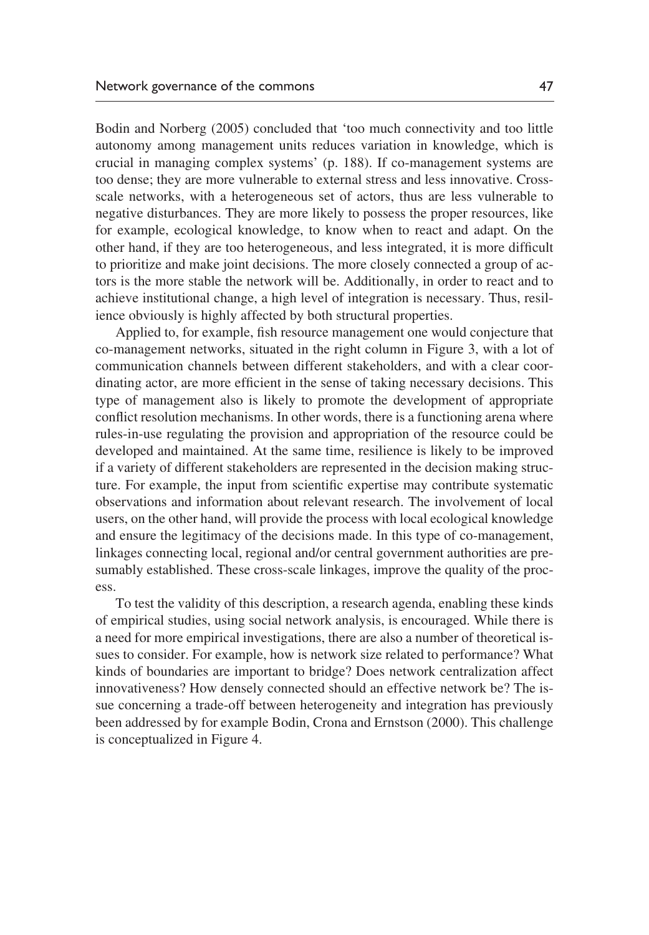Bodin and Norberg (2005) concluded that 'too much connectivity and too little autonomy among management units reduces variation in knowledge, which is crucial in managing complex systems' (p. 188). If co-management systems are too dense; they are more vulnerable to external stress and less innovative. Crossscale networks, with a heterogeneous set of actors, thus are less vulnerable to negative disturbances. They are more likely to possess the proper resources, like for example, ecological knowledge, to know when to react and adapt. On the other hand, if they are too heterogeneous, and less integrated, it is more difficult to prioritize and make joint decisions. The more closely connected a group of actors is the more stable the network will be. Additionally, in order to react and to achieve institutional change, a high level of integration is necessary. Thus, resilience obviously is highly affected by both structural properties.

Applied to, for example, fish resource management one would conjecture that co-management networks, situated in the right column in Figure 3, with a lot of communication channels between different stakeholders, and with a clear coordinating actor, are more efficient in the sense of taking necessary decisions. This type of management also is likely to promote the development of appropriate conflict resolution mechanisms. In other words, there is a functioning arena where rules-in-use regulating the provision and appropriation of the resource could be developed and maintained. At the same time, resilience is likely to be improved if a variety of different stakeholders are represented in the decision making structure. For example, the input from scientific expertise may contribute systematic observations and information about relevant research. The involvement of local users, on the other hand, will provide the process with local ecological knowledge and ensure the legitimacy of the decisions made. In this type of co-management, linkages connecting local, regional and/or central government authorities are presumably established. These cross-scale linkages, improve the quality of the process.

To test the validity of this description, a research agenda, enabling these kinds of empirical studies, using social network analysis, is encouraged. While there is a need for more empirical investigations, there are also a number of theoretical issues to consider. For example, how is network size related to performance? What kinds of boundaries are important to bridge? Does network centralization affect innovativeness? How densely connected should an effective network be? The issue concerning a trade-off between heterogeneity and integration has previously been addressed by for example Bodin, Crona and Ernstson (2000). This challenge is conceptualized in Figure 4.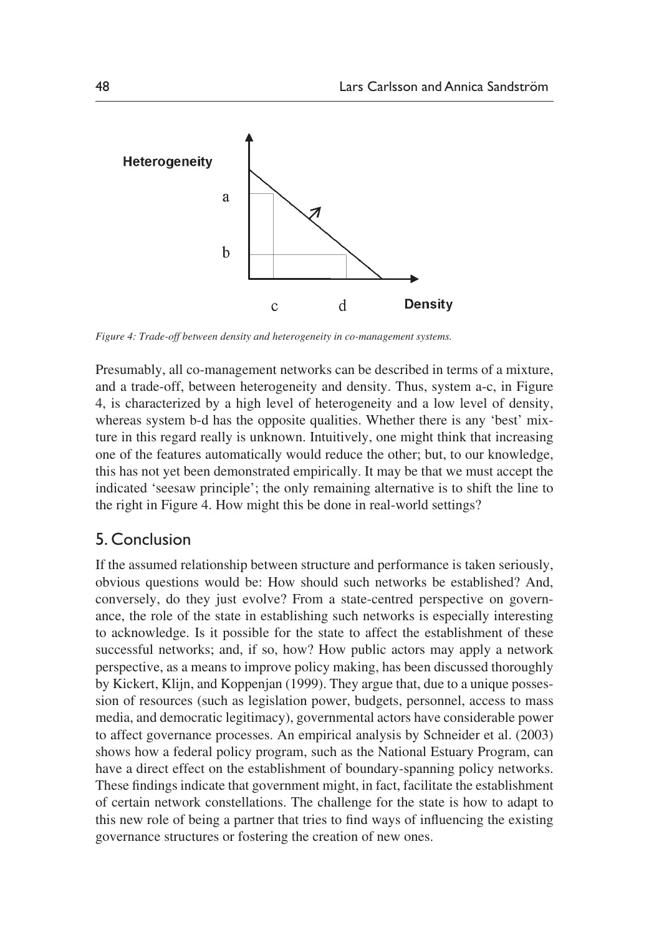

*Figure 4: Trade-off between density and heterogeneity in co-management systems.*

Presumably, all co-management networks can be described in terms of a mixture, and a trade-off, between heterogeneity and density. Thus, system a-c, in Figure 4, is characterized by a high level of heterogeneity and a low level of density, whereas system b-d has the opposite qualities. Whether there is any 'best' mixture in this regard really is unknown. Intuitively, one might think that increasing one of the features automatically would reduce the other; but, to our knowledge, this has not yet been demonstrated empirically. It may be that we must accept the indicated 'seesaw principle'; the only remaining alternative is to shift the line to the right in Figure 4. How might this be done in real-world settings?

## 5. Conclusion

If the assumed relationship between structure and performance is taken seriously, obvious questions would be: How should such networks be established? And, conversely, do they just evolve? From a state-centred perspective on governance, the role of the state in establishing such networks is especially interesting to acknowledge. Is it possible for the state to affect the establishment of these successful networks; and, if so, how? How public actors may apply a network perspective, as a means to improve policy making, has been discussed thoroughly by Kickert, Klijn, and Koppenjan (1999). They argue that, due to a unique possession of resources (such as legislation power, budgets, personnel, access to mass media, and democratic legitimacy), governmental actors have considerable power to affect governance processes. An empirical analysis by Schneider et al. (2003) shows how a federal policy program, such as the National Estuary Program, can have a direct effect on the establishment of boundary-spanning policy networks. These findings indicate that government might, in fact, facilitate the establishment of certain network constellations. The challenge for the state is how to adapt to this new role of being a partner that tries to find ways of influencing the existing governance structures or fostering the creation of new ones.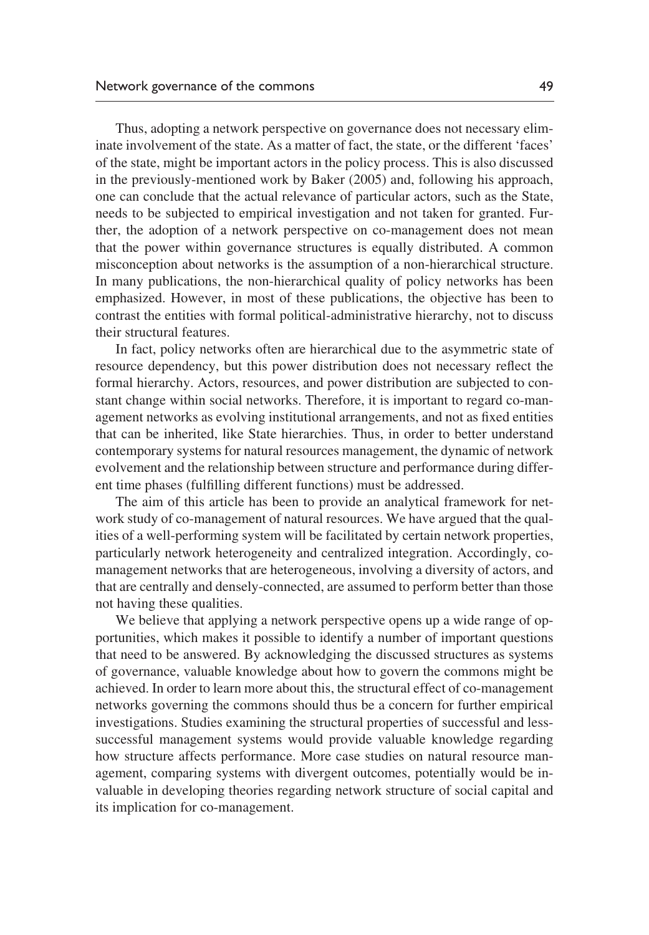Thus, adopting a network perspective on governance does not necessary eliminate involvement of the state. As a matter of fact, the state, or the different 'faces' of the state, might be important actors in the policy process. This is also discussed in the previously-mentioned work by Baker (2005) and, following his approach, one can conclude that the actual relevance of particular actors, such as the State, needs to be subjected to empirical investigation and not taken for granted. Further, the adoption of a network perspective on co-management does not mean that the power within governance structures is equally distributed. A common misconception about networks is the assumption of a non-hierarchical structure. In many publications, the non-hierarchical quality of policy networks has been emphasized. However, in most of these publications, the objective has been to contrast the entities with formal political-administrative hierarchy, not to discuss their structural features.

In fact, policy networks often are hierarchical due to the asymmetric state of resource dependency, but this power distribution does not necessary reflect the formal hierarchy. Actors, resources, and power distribution are subjected to constant change within social networks. Therefore, it is important to regard co-management networks as evolving institutional arrangements, and not as fixed entities that can be inherited, like State hierarchies. Thus, in order to better understand contemporary systems for natural resources management, the dynamic of network evolvement and the relationship between structure and performance during different time phases (fulfilling different functions) must be addressed.

The aim of this article has been to provide an analytical framework for network study of co-management of natural resources. We have argued that the qualities of a well-performing system will be facilitated by certain network properties, particularly network heterogeneity and centralized integration. Accordingly, comanagement networks that are heterogeneous, involving a diversity of actors, and that are centrally and densely-connected, are assumed to perform better than those not having these qualities.

We believe that applying a network perspective opens up a wide range of opportunities, which makes it possible to identify a number of important questions that need to be answered. By acknowledging the discussed structures as systems of governance, valuable knowledge about how to govern the commons might be achieved. In order to learn more about this, the structural effect of co-management networks governing the commons should thus be a concern for further empirical investigations. Studies examining the structural properties of successful and lesssuccessful management systems would provide valuable knowledge regarding how structure affects performance. More case studies on natural resource management, comparing systems with divergent outcomes, potentially would be invaluable in developing theories regarding network structure of social capital and its implication for co-management.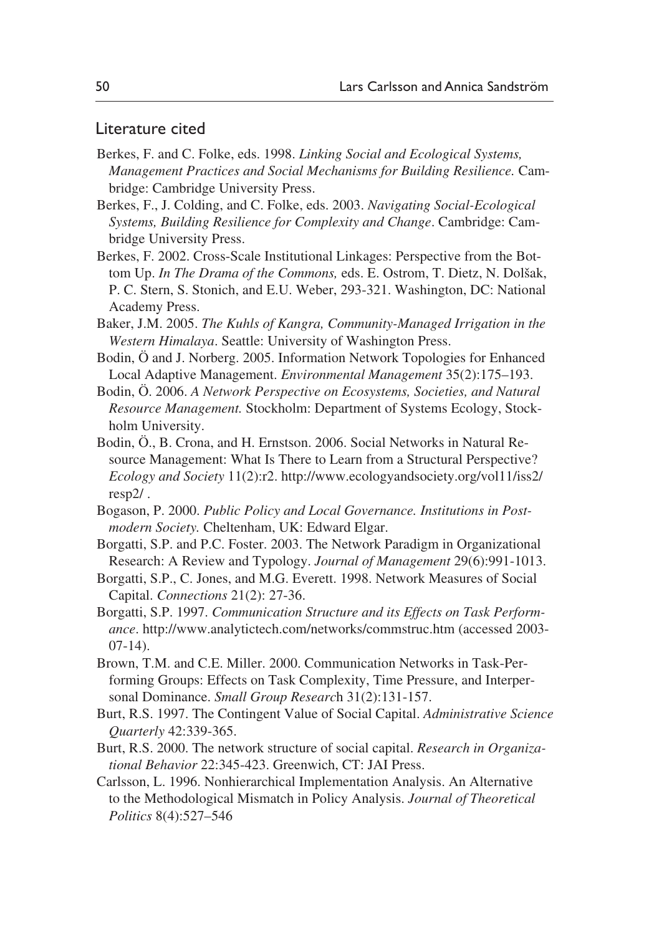## Literature cited

- Berkes, F. and C. Folke, eds. 1998. *Linking Social and Ecological Systems, Management Practices and Social Mechanisms for Building Resilience.* Cambridge: Cambridge University Press.
- Berkes, F., J. Colding, and C. Folke, eds. 2003. *Navigating Social-Ecological Systems, Building Resilience for Complexity and Change*. Cambridge: Cambridge University Press.
- Berkes, F. 2002. Cross-Scale Institutional Linkages: Perspective from the Bottom Up. *In The Drama of the Commons,* eds. E. Ostrom, T. Dietz, N. Dolšak, P. C. Stern, S. Stonich, and E.U. Weber, 293-321. Washington, DC: National Academy Press.
- Baker, J.M. 2005. *The Kuhls of Kangra, Community-Managed Irrigation in the Western Himalaya*. Seattle: University of Washington Press.
- Bodin, Ö and J. Norberg. 2005. Information Network Topologies for Enhanced Local Adaptive Management. *Environmental Management* 35(2):175–193.
- Bodin, Ö. 2006. *A Network Perspective on Ecosystems, Societies, and Natural Resource Management.* Stockholm: Department of Systems Ecology, Stockholm University.
- Bodin, Ö., B. Crona, and H. Ernstson. 2006. Social Networks in Natural Resource Management: What Is There to Learn from a Structural Perspective? *Ecology and Society* 11(2):r2. http://www.ecologyandsociety.org/vol11/iss2/ resp2/ .
- Bogason, P. 2000. *Public Policy and Local Governance. Institutions in Postmodern Society.* Cheltenham, UK: Edward Elgar.
- Borgatti, S.P. and P.C. Foster. 2003. The Network Paradigm in Organizational Research: A Review and Typology. *Journal of Management* 29(6):991-1013.
- Borgatti, S.P., C. Jones, and M.G. Everett. 1998. Network Measures of Social Capital. *Connections* 21(2): 27-36.
- Borgatti, S.P. 1997. *Communication Structure and its Effects on Task Performance*. http://www.analytictech.com/networks/commstruc.htm (accessed 2003-  $(07-14)$ .
- Brown, T.M. and C.E. Miller. 2000. Communication Networks in Task-Performing Groups: Effects on Task Complexity, Time Pressure, and Interpersonal Dominance. *Small Group Researc*h 31(2):131-157.
- Burt, R.S. 1997. The Contingent Value of Social Capital. *Administrative Science Quarterly* 42:339-365.
- Burt, R.S. 2000. The network structure of social capital. *Research in Organizational Behavior* 22:345-423. Greenwich, CT: JAI Press.
- Carlsson, L. 1996. Nonhierarchical Implementation Analysis. An Alternative to the Methodological Mismatch in Policy Analysis. *Journal of Theoretical Politics* 8(4):527–546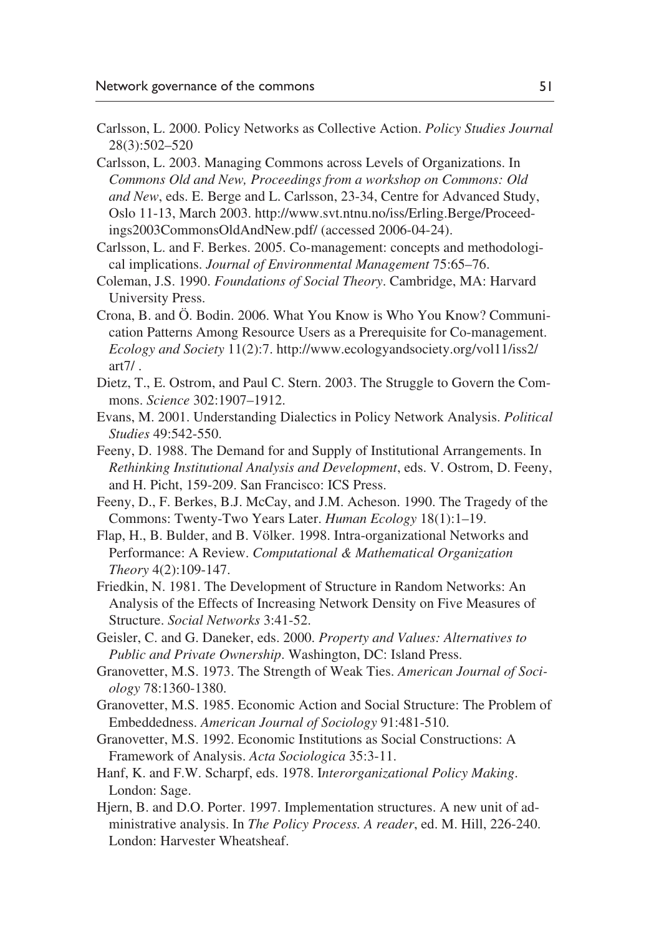- Carlsson, L. 2000. Policy Networks as Collective Action. *Policy Studies Journal* 28(3):502–520
- Carlsson, L. 2003. Managing Commons across Levels of Organizations. In *Commons Old and New, Proceedings from a workshop on Commons: Old and New*, eds. E. Berge and L. Carlsson, 23-34, Centre for Advanced Study, Oslo 11-13, March 2003. http://www.svt.ntnu.no/iss/Erling.Berge/Proceedings2003CommonsOldAndNew.pdf/ (accessed 2006-04-24).
- Carlsson, L. and F. Berkes. 2005. Co-management: concepts and methodological implications. *Journal of Environmental Management* 75:65–76.
- Coleman, J.S. 1990. *Foundations of Social Theory*. Cambridge, MA: Harvard University Press.
- Crona, B. and Ö. Bodin. 2006. What You Know is Who You Know? Communication Patterns Among Resource Users as a Prerequisite for Co-management. *Ecology and Society* 11(2):7. http://www.ecologyandsociety.org/vol11/iss2/  $art7/$ .
- Dietz, T., E. Ostrom, and Paul C. Stern. 2003. The Struggle to Govern the Commons. *Science* 302:1907–1912.
- Evans, M. 2001. Understanding Dialectics in Policy Network Analysis. *Political Studies* 49:542-550.
- Feeny, D. 1988. The Demand for and Supply of Institutional Arrangements. In *Rethinking Institutional Analysis and Development*, eds. V. Ostrom, D. Feeny, and H. Picht, 159-209. San Francisco: ICS Press.
- Feeny, D., F. Berkes, B.J. McCay, and J.M. Acheson. 1990. The Tragedy of the Commons: Twenty-Two Years Later. *Human Ecology* 18(1):1–19.
- Flap, H., B. Bulder, and B. Völker. 1998. Intra-organizational Networks and Performance: A Review. *Computational & Mathematical Organization Theory* 4(2):109-147.
- Friedkin, N. 1981. The Development of Structure in Random Networks: An Analysis of the Effects of Increasing Network Density on Five Measures of Structure. *Social Networks* 3:41-52.
- Geisler, C. and G. Daneker, eds. 2000. *Property and Values: Alternatives to Public and Private Ownership*. Washington, DC: Island Press.
- Granovetter, M.S. 1973. The Strength of Weak Ties. *American Journal of Sociology* 78:1360-1380.
- Granovetter, M.S. 1985. Economic Action and Social Structure: The Problem of Embeddedness. *American Journal of Sociology* 91:481-510.
- Granovetter, M.S. 1992. Economic Institutions as Social Constructions: A Framework of Analysis. *Acta Sociologica* 35:3-11.
- Hanf, K. and F.W. Scharpf, eds. 1978. I*nterorganizational Policy Making*. London: Sage.
- Hjern, B. and D.O. Porter. 1997. Implementation structures. A new unit of administrative analysis. In *The Policy Process. A reader*, ed. M. Hill, 226-240. London: Harvester Wheatsheaf.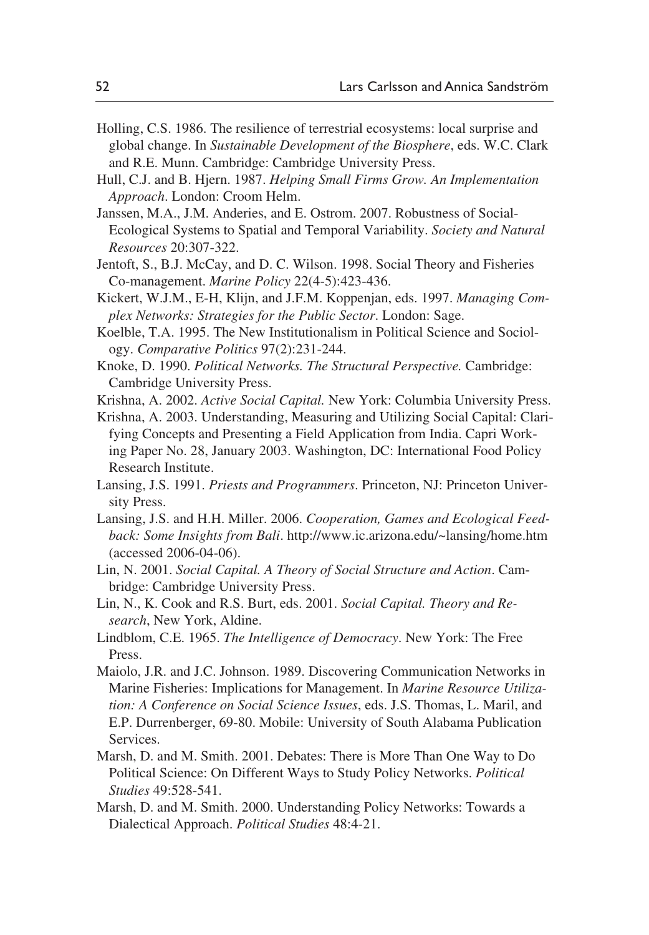- Holling, C.S. 1986. The resilience of terrestrial ecosystems: local surprise and global change. In *Sustainable Development of the Biosphere*, eds. W.C. Clark and R.E. Munn. Cambridge: Cambridge University Press.
- Hull, C.J. and B. Hjern. 1987. *Helping Small Firms Grow. An Implementation Approach*. London: Croom Helm.
- Janssen, M.A., J.M. Anderies, and E. Ostrom. 2007. Robustness of Social-Ecological Systems to Spatial and Temporal Variability. *Society and Natural Resources* 20:307-322.
- Jentoft, S., B.J. McCay, and D. C. Wilson. 1998. Social Theory and Fisheries Co-management. *Marine Policy* 22(4-5):423-436.
- Kickert, W.J.M., E-H, Klijn, and J.F.M. Koppenjan, eds. 1997. *Managing Complex Networks: Strategies for the Public Sector*. London: Sage.
- Koelble, T.A. 1995. The New Institutionalism in Political Science and Sociology. *Comparative Politics* 97(2):231-244.
- Knoke, D. 1990. *Political Networks. The Structural Perspective.* Cambridge: Cambridge University Press.
- Krishna, A. 2002. *Active Social Capital.* New York: Columbia University Press.
- Krishna, A. 2003. Understanding, Measuring and Utilizing Social Capital: Clarifying Concepts and Presenting a Field Application from India. Capri Working Paper No. 28, January 2003. Washington, DC: International Food Policy Research Institute.
- Lansing, J.S. 1991. *Priests and Programmers*. Princeton, NJ: Princeton University Press.
- Lansing, J.S. and H.H. Miller. 2006. *Cooperation, Games and Ecological Feedback: Some Insights from Bali*. http://www.ic.arizona.edu/~lansing/home.htm (accessed 2006-04-06).
- Lin, N. 2001. *Social Capital. A Theory of Social Structure and Action*. Cambridge: Cambridge University Press.
- Lin, N., K. Cook and R.S. Burt, eds. 2001. *Social Capital. Theory and Research*, New York, Aldine.
- Lindblom, C.E. 1965. *The Intelligence of Democracy*. New York: The Free Press.
- Maiolo, J.R. and J.C. Johnson. 1989. Discovering Communication Networks in Marine Fisheries: Implications for Management. In *Marine Resource Utilization: A Conference on Social Science Issues*, eds. J.S. Thomas, L. Maril, and E.P. Durrenberger, 69-80. Mobile: University of South Alabama Publication Services.
- Marsh, D. and M. Smith. 2001. Debates: There is More Than One Way to Do Political Science: On Different Ways to Study Policy Networks. *Political Studies* 49:528-541.
- Marsh, D. and M. Smith. 2000. Understanding Policy Networks: Towards a Dialectical Approach. *Political Studies* 48:4-21.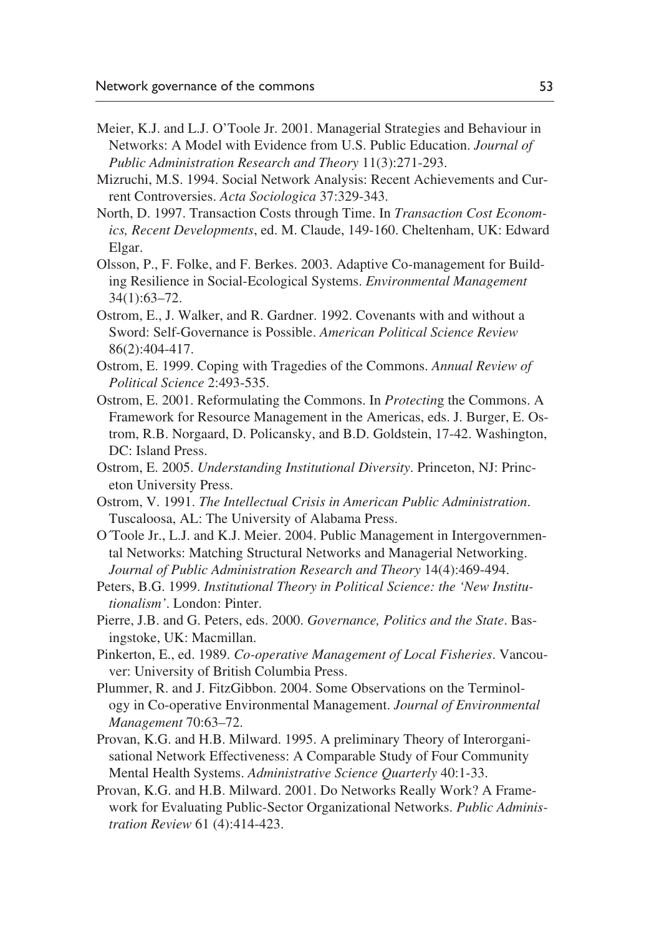- Meier, K.J. and L.J. O'Toole Jr. 2001. Managerial Strategies and Behaviour in Networks: A Model with Evidence from U.S. Public Education. *Journal of Public Administration Research and Theory* 11(3):271-293.
- Mizruchi, M.S. 1994. Social Network Analysis: Recent Achievements and Current Controversies. *Acta Sociologica* 37:329-343.
- North, D. 1997. Transaction Costs through Time. In *Transaction Cost Economics, Recent Developments*, ed. M. Claude, 149-160. Cheltenham, UK: Edward Elgar.
- Olsson, P., F. Folke, and F. Berkes. 2003. Adaptive Co-management for Building Resilience in Social-Ecological Systems. *Environmental Management* 34(1):63–72.
- Ostrom, E., J. Walker, and R. Gardner. 1992. Covenants with and without a Sword: Self-Governance is Possible. *American Political Science Review* 86(2):404-417.
- Ostrom, E. 1999. Coping with Tragedies of the Commons. *Annual Review of Political Science* 2:493-535.
- Ostrom, E. 2001. Reformulating the Commons. In *Protectin*g the Commons. A Framework for Resource Management in the Americas, eds. J. Burger, E. Ostrom, R.B. Norgaard, D. Policansky, and B.D. Goldstein, 17-42. Washington, DC: Island Press.
- Ostrom, E. 2005. *Understanding Institutional Diversity*. Princeton, NJ: Princeton University Press.
- Ostrom, V. 1991. *The Intellectual Crisis in American Public Administration*. Tuscaloosa, AL: The University of Alabama Press.
- O´Toole Jr., L.J. and K.J. Meier. 2004. Public Management in Intergovernmental Networks: Matching Structural Networks and Managerial Networking. *Journal of Public Administration Research and Theory* 14(4):469-494.
- Peters, B.G. 1999. *Institutional Theory in Political Science: the 'New Institutionalism'*. London: Pinter.
- Pierre, J.B. and G. Peters, eds. 2000. *Governance, Politics and the State*. Basingstoke, UK: Macmillan.
- Pinkerton, E., ed. 1989. *Co-operative Management of Local Fisheries*. Vancouver: University of British Columbia Press.
- Plummer, R. and J. FitzGibbon. 2004. Some Observations on the Terminology in Co-operative Environmental Management. *Journal of Environmental Management* 70:63–72.
- Provan, K.G. and H.B. Milward. 1995. A preliminary Theory of Interorganisational Network Effectiveness: A Comparable Study of Four Community Mental Health Systems. *Administrative Science Quarterly* 40:1-33.
- Provan, K.G. and H.B. Milward. 2001. Do Networks Really Work? A Framework for Evaluating Public-Sector Organizational Networks. *Public Administration Review* 61 (4):414-423.